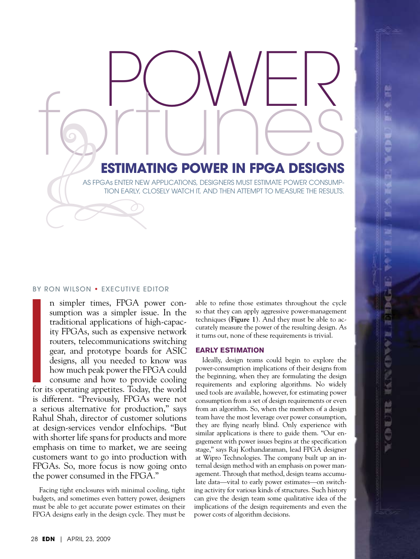OUTE HANGIVAL

# **POWER IN FREADESIGNS** As FPGAs enter new applications, designers Must estimate power consumption early, closely watch it, and then attempt to measure the results. **Estimating power in FPGA designs** ESTIMA<br>AS FPGAS ENTER NEV<br>TION EARLY, C

# By Ron Wilson • Executive Editor

In the set of the set of the set of the set of the set of the set of the set of the set of the set of the set of the set of the set of the set of the set of the set of the set of the set of the set of the set of the set of n simpler times, FPGA power consumption was a simpler issue. In the traditional applications of high-capacity FPGAs, such as expensive network routers, telecommunications switching gear, and prototype boards for ASIC designs, all you needed to know was how much peak power the FPGA could consume and how to provide cooling for its operating appetites. Today, the world is different. "Previously, FPGAs were not a serious alternative for production," says Rahul Shah, director of customer solutions at design-services vendor eInfochips. "But with shorter life spans for products and more emphasis on time to market, we are seeing customers want to go into production with FPGAs. So, more focus is now going onto the power consumed in the FPGA."

Facing tight enclosures with minimal cooling, tight budgets, and sometimes even battery power, designers must be able to get accurate power estimates on their FPGA designs early in the design cycle. They must be

able to refine those estimates throughout the cycle so that they can apply aggressive power-management techniques (**Figure 1**). And they must be able to accurately measure the power of the resulting design. As it turns out, none of these requirements is trivial.

## **Early estimation**

Ideally, design teams could begin to explore the power-consumption implications of their designs from the beginning, when they are formulating the design requirements and exploring algorithms. No widely used tools are available, however, for estimating power consumption from a set of design requirements or even from an algorithm. So, when the members of a design team have the most leverage over power consumption, they are flying nearly blind. Only experience with similar applications is there to guide them. "Our engagement with power issues begins at the specification stage," says Raj Kothandaraman, lead FPGA designer at Wipro Technologies. The company built up an internal design method with an emphasis on power management. Through that method, design teams accumulate data—vital to early power estimates—on switching activity for various kinds of structures. Such history can give the design team some qualitative idea of the implications of the design requirements and even the power costs of algorithm decisions.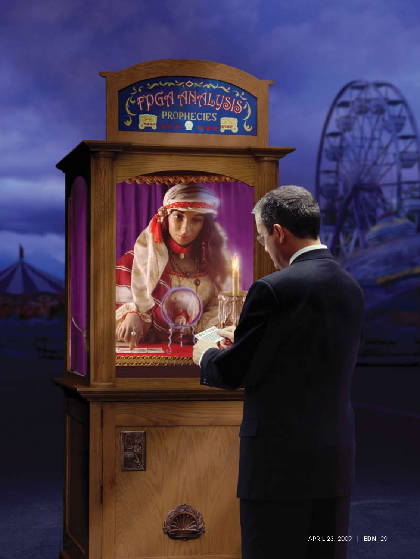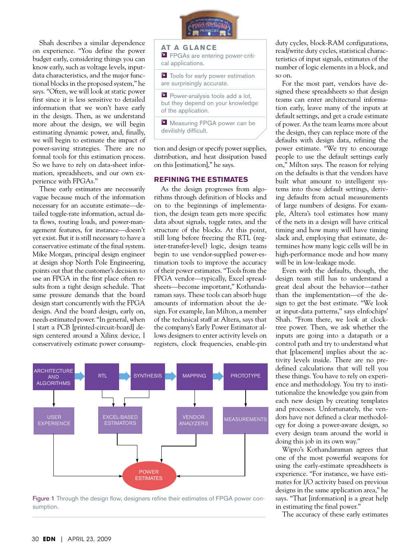

Shah describes a similar dependence on experience. "You define the power budget early, considering things you can know early, such as voltage levels, inputdata characteristics, and the major functional blocks in the proposed system," he says. "Often, we will look at static power first since it is less sensitive to detailed information that we won't have early in the design. Then, as we understand more about the design, we will begin estimating dynamic power, and, finally, we will begin to estimate the impact of power-saving strategies. There are no formal tools for this estimation process. So we have to rely on data-sheet information, spreadsheets, and our own experience with FPGAs."

These early estimates are necessarily vague because much of the information necessary for an accurate estimate—detailed toggle-rate information, actual data flows, routing loads, and power-management features, for instance—doesn't yet exist. But it is still necessary to have a conservative estimate of the final system. Mike Morgan, principal design engineer at design shop North Pole Engineering, points out that the customer's decision to use an FPGA in the first place often results from a tight design schedule. That same pressure demands that the board design start concurrently with the FPGA design. And the board design, early on, needs estimated power. "In general, when I start a PCB [printed-circuit-board] design centered around a Xilinx device, I conservatively estimate power consump**AT A GLAN CE P** FPGAs are entering power-critical applications. Tools for early power estimation are surprisingly accurate. Power-analysis tools add a lot,

but they depend on your knowledge of the application.

Measuring FPGA power can be devilishly difficult.

tion and design or specify power supplies, distribution, and heat dissipation based on this [estimation]," he says.

## **Refining the estimates**

As the design progresses from algorithms through definition of blocks and on to the beginnings of implementation, the design team gets more specific data about signals, toggle rates, and the structure of the blocks. At this point, still long before freezing the RTL (register-transfer-level) logic, design teams begin to use vendor-supplied power-estimation tools to improve the accuracy of their power estimates. "Tools from the FPGA vendor—typically, Excel spreadsheets—become important," Kothandaraman says. These tools can absorb huge amounts of information about the design. For example, Ian Milton, a member of the technical staff at Altera, says that the company's Early Power Estimator allows designers to enter activity levels on registers, clock frequencies, enable-pin



Figure 1 Through the design flow, designers refine their estimates of FPGA power consumption.

duty cycles, block-RAM configurations, read/write duty cycles, statistical characteristics of input signals, estimates of the number of logic elements in a block, and so on.

For the most part, vendors have designed these spreadsheets so that design teams can enter architectural information early, leave many of the inputs at default settings, and get a crude estimate of power. As the team learns more about the design, they can replace more of the defaults with design data, refining the power estimate. "We try to encourage people to use the default settings early on," Milton says. The reason for relying on the defaults is that the vendors have built what amount to intelligent systems into those default settings, deriving defaults from actual measurements of large numbers of designs. For example, Altera's tool estimates how many of the nets in a design will have critical timing and how many will have timing slack and, employing that estimate, determines how many logic cells will be in high-performance mode and how many will be in low-leakage mode.

Even with the defaults, though, the design team still has to understand a great deal about the behavior—rather than the implementation—of the design to get the best estimate. "We look at input-data patterns," says eInfochips' Shah. "From there, we look at clocktree power. Then, we ask whether the inputs are going into a datapath or a control path and try to understand what that [placement] implies about the activity levels inside. There are no predefined calculations that will tell you these things. You have to rely on experience and methodology. You try to institutionalize the knowledge you gain from each new design by creating templates and processes. Unfortunately, the vendors have not defined a clear methodology for doing a power-aware design, so every design team around the world is doing this job in its own way."

Wipro's Kothandaraman agrees that one of the most powerful weapons for using the early-estimate spreadsheets is experience. "For instance, we have estimates for I/O activity based on previous designs in the same application area," he says. "That [information] is a great help in estimating the final power."

The accuracy of these early estimates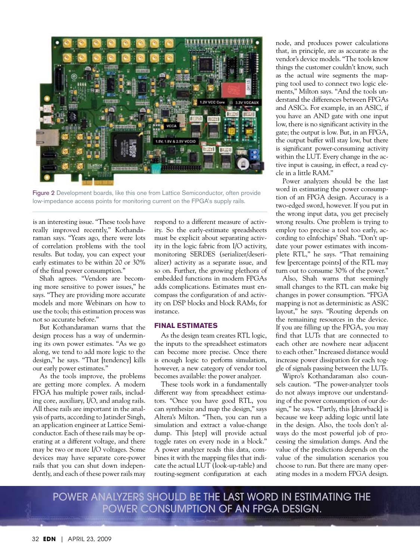

Figure 2 Development boards, like this one from Lattice Semiconductor, often provide low-impedance access points for monitoring current on the FPGA's supply rails.

is an interesting issue. "These tools have really improved recently," Kothandaraman says. "Years ago, there were lots of correlation problems with the tool results. But today, you can expect your early estimates to be within 20 or 30% of the final power consumption."

Shah agrees. "Vendors are becoming more sensitive to power issues," he says. "They are providing more accurate models and more Webinars on how to use the tools; this estimation process was not so accurate before."

But Kothandaraman warns that the design process has a way of undermining its own power estimates. "As we go along, we tend to add more logic to the design," he says. "That [tendency] kills our early power estimates."

As the tools improve, the problems are getting more complex. A modern FPGA has multiple power rails, including core, auxiliary, I/O, and analog rails. All these rails are important in the analysis of parts, according to Jatinder Singh, an application engineer at Lattice Semiconductor. Each of these rails may be operating at a different voltage, and there may be two or more I/O voltages. Some devices may have separate core-power rails that you can shut down independently, and each of these power rails may respond to a different measure of activity. So the early-estimate spreadsheets must be explicit about separating activity in the logic fabric from I/O activity, monitoring SERDES (serializer/deserializer) activity as a separate issue, and so on. Further, the growing plethora of embedded functions in modern FPGAs adds complications. Estimates must encompass the configuration of and activity on DSP blocks and block RAMs, for instance.

## **Final estimates**

As the design team creates RTL logic, the inputs to the spreadsheet estimators can become more precise. Once there is enough logic to perform simulation, however, a new category of vendor tool becomes available: the power analyzer.

These tools work in a fundamentally different way from spreadsheet estimators. "Once you have good RTL, you can synthesize and map the design," says Altera's Milton. "Then, you can run a simulation and extract a value-change dump. This [step] will provide actual toggle rates on every node in a block." A power analyzer reads this data, combines it with the mapping files that indicate the actual LUT (look-up-table) and routing-segment configuration at each node, and produces power calculations that, in principle, are as accurate as the vendor's device models. "The tools know things the customer couldn't know, such as the actual wire segments the mapping tool used to connect two logic elements," Milton says. "And the tools understand the differences between FPGAs and ASICs. For example, in an ASIC, if you have an AND gate with one input low, there is no significant activity in the gate; the output is low. But, in an FPGA, the output buffer will stay low, but there is significant power-consuming activity within the LUT. Every change in the active input is causing, in effect, a read cycle in a little RAM."

Power analyzers should be the last word in estimating the power consumption of an FPGA design. Accuracy is a two-edged sword, however. If you put in the wrong input data, you get precisely wrong results. One problem is trying to employ too precise a tool too early, according to eInfochips' Shah. "Don't update your power estimates with incomplete RTL," he says. "That remaining few [percentage points] of the RTL may turn out to consume 30% of the power."

Also, Shah warns that seemingly small changes to the RTL can make big changes in power consumption. "FPGA mapping is not as deterministic as ASIC layout," he says. "Routing depends on the remaining resources in the device. If you are filling up the FPGA, you may find that LUTs that are connected to each other are nowhere near adjacent to each other." Increased distance would increase power dissipation for each toggle of signals passing between the LUTs.

Wipro's Kothandaraman also counsels caution. "The power-analyzer tools do not always improve our understanding of the power consumption of our design," he says. "Partly, this [drawback] is because we keep adding logic until late in the design. Also, the tools don't always do the most powerful job of processing the simulation dumps. And the value of the predictions depends on the value of the simulation scenarios you choose to run. But there are many operating modes in a modern FPGA design.

Power analyzers should be the last word in estimating the power consumption of an FPGA design.